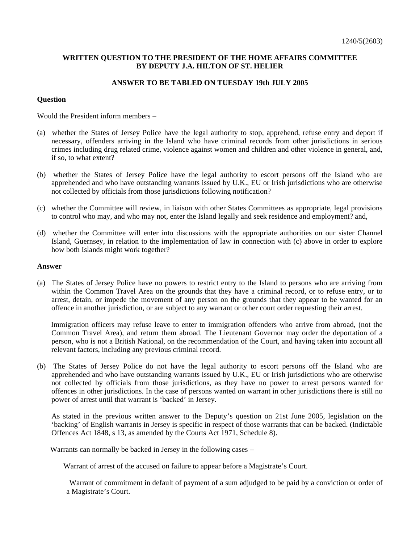## **WRITTEN QUESTION TO THE PRESIDENT OF THE HOME AFFAIRS COMMITTEE BY DEPUTY J.A. HILTON OF ST. HELIER**

## **ANSWER TO BE TABLED ON TUESDAY 19th JULY 2005**

## **Question**

Would the President inform members –

- (a) whether the States of Jersey Police have the legal authority to stop, apprehend, refuse entry and deport if necessary, offenders arriving in the Island who have criminal records from other jurisdictions in serious crimes including drug related crime, violence against women and children and other violence in general, and, if so, to what extent?
- (b) whether the States of Jersey Police have the legal authority to escort persons off the Island who are apprehended and who have outstanding warrants issued by U.K., EU or Irish jurisdictions who are otherwise not collected by officials from those jurisdictions following notification?
- (c) whether the Committee will review, in liaison with other States Committees as appropriate, legal provisions to control who may, and who may not, enter the Island legally and seek residence and employment? and,
- (d) whether the Committee will enter into discussions with the appropriate authorities on our sister Channel Island, Guernsey, in relation to the implementation of law in connection with (c) above in order to explore how both Islands might work together?

## **Answer**

(a) The States of Jersey Police have no powers to restrict entry to the Island to persons who are arriving from within the Common Travel Area on the grounds that they have a criminal record, or to refuse entry, or to arrest, detain, or impede the movement of any person on the grounds that they appear to be wanted for an offence in another jurisdiction, or are subject to any warrant or other court order requesting their arrest.

 Immigration officers may refuse leave to enter to immigration offenders who arrive from abroad, (not the Common Travel Area), and return them abroad. The Lieutenant Governor may order the deportation of a person, who is not a British National, on the recommendation of the Court, and having taken into account all relevant factors, including any previous criminal record.

(b) The States of Jersey Police do not have the legal authority to escort persons off the Island who are apprehended and who have outstanding warrants issued by U.K., EU or Irish jurisdictions who are otherwise not collected by officials from those jurisdictions, as they have no power to arrest persons wanted for offences in other jurisdictions. In the case of persons wanted on warrant in other jurisdictions there is still no power of arrest until that warrant is 'backed' in Jersey.

 As stated in the previous written answer to the Deputy's question on 21st June 2005, legislation on the 'backing' of English warrants in Jersey is specific in respect of those warrants that can be backed. (Indictable Offences Act 1848, s 13, as amended by the Courts Act 1971, Schedule 8).

Warrants can normally be backed in Jersey in the following cases –

Warrant of arrest of the accused on failure to appear before a Magistrate's Court.

 Warrant of commitment in default of payment of a sum adjudged to be paid by a conviction or order of a Magistrate's Court.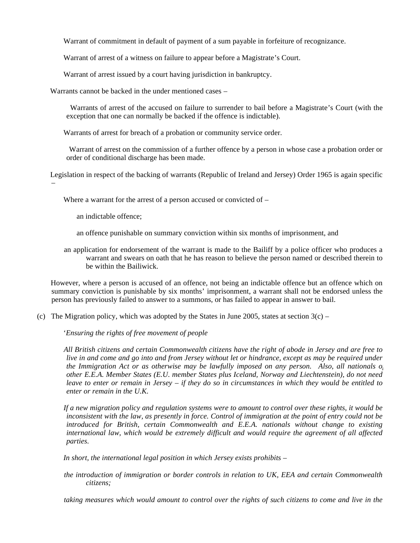Warrant of commitment in default of payment of a sum payable in forfeiture of recognizance.

Warrant of arrest of a witness on failure to appear before a Magistrate's Court.

Warrant of arrest issued by a court having jurisdiction in bankruptcy.

Warrants cannot be backed in the under mentioned cases –

 Warrants of arrest of the accused on failure to surrender to bail before a Magistrate's Court (with the exception that one can normally be backed if the offence is indictable).

Warrants of arrest for breach of a probation or community service order.

 Warrant of arrest on the commission of a further offence by a person in whose case a probation order or order of conditional discharge has been made.

 Legislation in respect of the backing of warrants (Republic of Ireland and Jersey) Order 1965 is again specific –

Where a warrant for the arrest of a person accused or convicted of –

- an indictable offence;
- an offence punishable on summary conviction within six months of imprisonment, and

 an application for endorsement of the warrant is made to the Bailiff by a police officer who produces a warrant and swears on oath that he has reason to believe the person named or described therein to be within the Bailiwick.

 However, where a person is accused of an offence, not being an indictable offence but an offence which on summary conviction is punishable by six months' imprisonment, a warrant shall not be endorsed unless the person has previously failed to answer to a summons, or has failed to appear in answer to bail.

(c) The Migration policy, which was adopted by the States in June 2005, states at section  $3(c)$  –

'*Ensuring the rights of free movement of people*

 *All British citizens and certain Commonwealth citizens have the right of abode in Jersey and are free to live in and come and go into and from Jersey without let or hindrance, except as may be required under the Immigration Act or as otherwise may be lawfully imposed on any person. Also, all nationals of other E.E.A. Member States (E.U. member States plus Iceland, Norway and Liechtenstein), do not need leave to enter or remain in Jersey – if they do so in circumstances in which they would be entitled to enter or remain in the U.K.*

 *If a new migration policy and regulation systems were to amount to control over these rights, it would be inconsistent with the law, as presently in force. Control of immigration at the point of entry could not be introduced for British, certain Commonwealth and E.E.A. nationals without change to existing international law, which would be extremely difficult and would require the agreement of all affected parties.*

 *In short, the international legal position in which Jersey exists prohibits –*

 *the introduction of immigration or border controls in relation to UK, EEA and certain Commonwealth citizens;*

 *taking measures which would amount to control over the rights of such citizens to come and live in the*